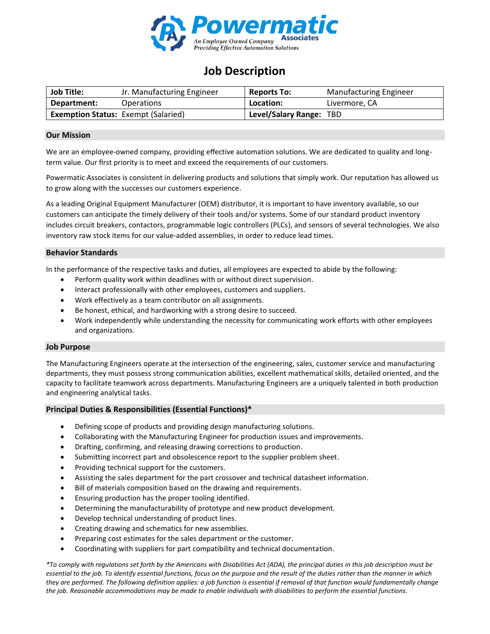

# **Job Description**

| <b>Job Title:</b> | Jr. Manufacturing Engineer                 | <b>Reports To:</b>      | <b>Manufacturing Engineer</b> |
|-------------------|--------------------------------------------|-------------------------|-------------------------------|
| Department:       | Operations                                 | Location:               | Livermore, CA                 |
|                   | <b>Exemption Status: Exempt (Salaried)</b> | Level/Salary Range: TBD |                               |

#### **Our Mission**

We are an employee-owned company, providing effective automation solutions. We are dedicated to quality and longterm value. Our first priority is to meet and exceed the requirements of our customers.

Powermatic Associates is consistent in delivering products and solutions that simply work. Our reputation has allowed us to grow along with the successes our customers experience.

As a leading Original Equipment Manufacturer (OEM) distributor, it is important to have inventory available, so our customers can anticipate the timely delivery of their tools and/or systems. Some of our standard product inventory includes circuit breakers, contactors, programmable logic controllers (PLCs), and sensors of several technologies. We also inventory raw stock items for our value-added assemblies, in order to reduce lead times.

#### **Behavior Standards**

In the performance of the respective tasks and duties, all employees are expected to abide by the following:

- Perform quality work within deadlines with or without direct supervision.
- Interact professionally with other employees, customers and suppliers.
- Work effectively as a team contributor on all assignments.
- Be honest, ethical, and hardworking with a strong desire to succeed.
- Work independently while understanding the necessity for communicating work efforts with other employees and organizations.

#### **Job Purpose**

The Manufacturing Engineers operate at the intersection of the engineering, sales, customer service and manufacturing departments, they must possess strong communication abilities, excellent mathematical skills, detailed oriented, and the capacity to facilitate teamwork across departments. Manufacturing Engineers are a uniquely talented in both production and engineering analytical tasks.

## **Principal Duties & Responsibilities (Essential Functions)\***

- Defining scope of products and providing design manufacturing solutions.
- Collaborating with the Manufacturing Engineer for production issues and improvements.
- Drafting, confirming, and releasing drawing corrections to production.
- Submitting incorrect part and obsolescence report to the supplier problem sheet.
- Providing technical support for the customers.
- Assisting the sales department for the part crossover and technical datasheet information.
- Bill of materials composition based on the drawing and requirements.
- Ensuring production has the proper tooling identified.
- Determining the manufacturability of prototype and new product development.
- Develop technical understanding of product lines.
- Creating drawing and schematics for new assemblies.
- Preparing cost estimates for the sales department or the customer.
- Coordinating with suppliers for part compatibility and technical documentation.

*\*To comply with regulations set forth by the Americans with Disabilities Act (ADA), the principal duties in this job description must be essential to the job. To identify essential functions, focus on the purpose and the result of the duties rather than the manner in which they are performed. The following definition applies: a job function is essential if removal of that function would fundamentally change the job. Reasonable accommodations may be made to enable individuals with disabilities to perform the essential functions.*